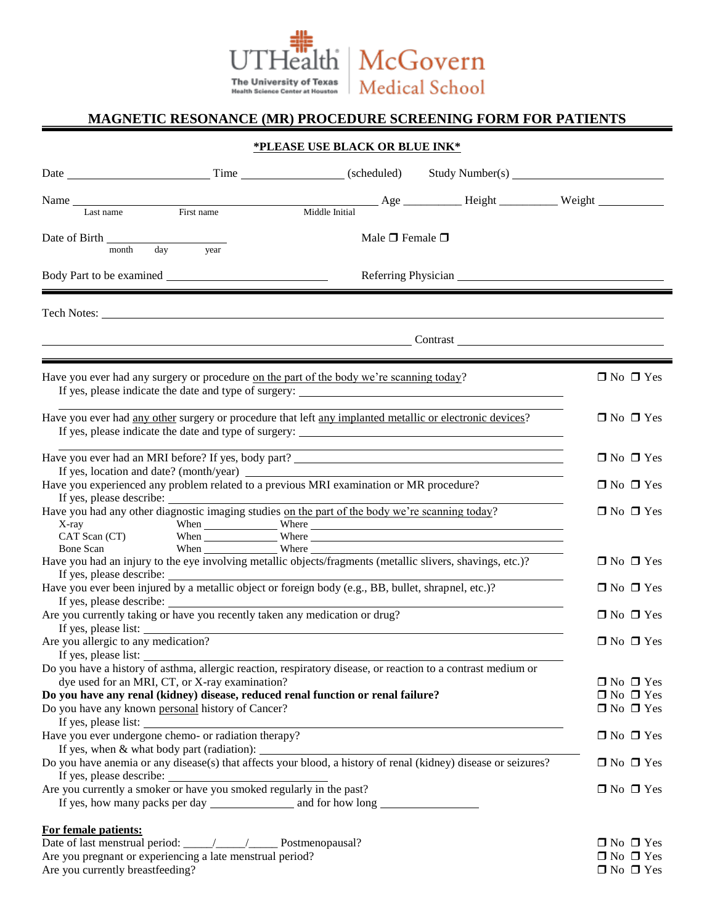

## **MAGNETIC RESONANCE (MR) PROCEDURE SCREENING FORM FOR PATIENTS**

### **\*PLEASE USE BLACK OR BLUE INK\***

|                                                                                                                                            | Name Last name First name                            |                                                                                                                                                                                                                                     |  |                      |
|--------------------------------------------------------------------------------------------------------------------------------------------|------------------------------------------------------|-------------------------------------------------------------------------------------------------------------------------------------------------------------------------------------------------------------------------------------|--|----------------------|
|                                                                                                                                            |                                                      |                                                                                                                                                                                                                                     |  |                      |
| month                                                                                                                                      | day<br>year                                          | Male $\Box$ Female $\Box$                                                                                                                                                                                                           |  |                      |
|                                                                                                                                            |                                                      |                                                                                                                                                                                                                                     |  |                      |
|                                                                                                                                            |                                                      |                                                                                                                                                                                                                                     |  |                      |
|                                                                                                                                            |                                                      |                                                                                                                                                                                                                                     |  |                      |
|                                                                                                                                            |                                                      | <u>Contrast</u> Contrast Contrast Contrast Contrast Contrast Contrast Contrast Contrast Contrast Contrast Contrast Contrast Contrast Contrast Contrast Contrast Contrast Contrast Contrast Contrast Contrast Contrast Contrast Cont |  |                      |
|                                                                                                                                            |                                                      |                                                                                                                                                                                                                                     |  |                      |
|                                                                                                                                            |                                                      | Have you ever had any surgery or procedure on the part of the body we're scanning today?                                                                                                                                            |  | $\Box$ No $\Box$ Yes |
| Have you ever had any other surgery or procedure that left any implanted metallic or electronic devices?                                   | $\Box$ No $\Box$ Yes                                 |                                                                                                                                                                                                                                     |  |                      |
|                                                                                                                                            | $\Box$ No $\Box$ Yes                                 |                                                                                                                                                                                                                                     |  |                      |
|                                                                                                                                            |                                                      | Have you experienced any problem related to a previous MRI examination or MR procedure?                                                                                                                                             |  |                      |
|                                                                                                                                            |                                                      |                                                                                                                                                                                                                                     |  | $\Box$ No $\Box$ Yes |
| Have you had any other diagnostic imaging studies on the part of the body we're scanning today?                                            | $\Box$ No $\Box$ Yes                                 |                                                                                                                                                                                                                                     |  |                      |
|                                                                                                                                            |                                                      |                                                                                                                                                                                                                                     |  |                      |
|                                                                                                                                            |                                                      |                                                                                                                                                                                                                                     |  |                      |
| Have you had an injury to the eye involving metallic objects/fragments (metallic slivers, shavings, etc.)?                                 | $\Box$ No $\Box$ Yes                                 |                                                                                                                                                                                                                                     |  |                      |
| Have you ever been injured by a metallic object or foreign body (e.g., BB, bullet, shrapnel, etc.)?<br>If yes, please describe:            | $\Box$ No $\Box$ Yes                                 |                                                                                                                                                                                                                                     |  |                      |
|                                                                                                                                            |                                                      | Are you currently taking or have you recently taken any medication or drug?                                                                                                                                                         |  | $\Box$ No $\Box$ Yes |
| If yes, please list:                                                                                                                       |                                                      |                                                                                                                                                                                                                                     |  |                      |
| Are you allergic to any medication?<br>If yes, please list:                                                                                | $\Box$ No $\Box$ Yes                                 |                                                                                                                                                                                                                                     |  |                      |
|                                                                                                                                            |                                                      | Do you have a history of asthma, allergic reaction, respiratory disease, or reaction to a contrast medium or                                                                                                                        |  |                      |
| dye used for an MRI, CT, or X-ray examination?                                                                                             | $\Box$ No $\Box$ Yes                                 |                                                                                                                                                                                                                                     |  |                      |
| Do you have any renal (kidney) disease, reduced renal function or renal failure?                                                           | $\Box$ No $\Box$ Yes                                 |                                                                                                                                                                                                                                     |  |                      |
| Do you have any known personal history of Cancer?                                                                                          | $\Box$ No $\Box$ Yes                                 |                                                                                                                                                                                                                                     |  |                      |
| If yes, please list:                                                                                                                       | Have you ever undergone chemo- or radiation therapy? |                                                                                                                                                                                                                                     |  | $\Box$ No $\Box$ Yes |
|                                                                                                                                            | If yes, when $&$ what body part (radiation): $\_\_$  |                                                                                                                                                                                                                                     |  |                      |
| Do you have anemia or any disease(s) that affects your blood, a history of renal (kidney) disease or seizures?<br>If yes, please describe: | $\Box$ No $\Box$ Yes                                 |                                                                                                                                                                                                                                     |  |                      |
| Are you currently a smoker or have you smoked regularly in the past?                                                                       | $\Box$ No $\Box$ Yes                                 |                                                                                                                                                                                                                                     |  |                      |
|                                                                                                                                            |                                                      |                                                                                                                                                                                                                                     |  |                      |
| For female patients:                                                                                                                       |                                                      |                                                                                                                                                                                                                                     |  |                      |
| Date of last menstrual period: ____/____/________ Postmenopausal?                                                                          | $\Box$ No $\Box$ Yes                                 |                                                                                                                                                                                                                                     |  |                      |
| Are you pregnant or experiencing a late menstrual period?                                                                                  | $\Box$ No $\Box$ Yes                                 |                                                                                                                                                                                                                                     |  |                      |
| Are you currently breastfeeding?                                                                                                           | $\Box$ No $\Box$ Yes                                 |                                                                                                                                                                                                                                     |  |                      |